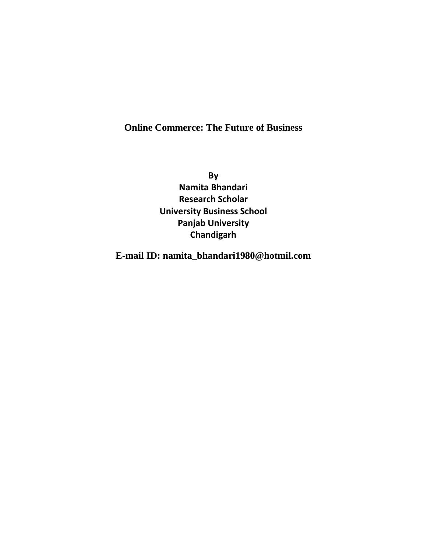# **Online Commerce: The Future of Business**

**By Namita Bhandari Research Scholar University Business School Panjab University Chandigarh**

**E-mail ID: namita\_bhandari1980@hotmil.com**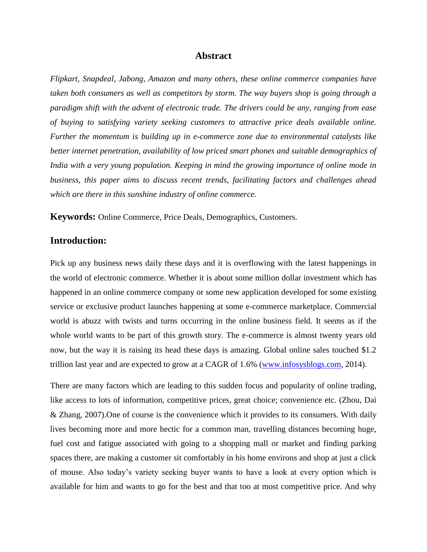#### **Abstract**

*Flipkart, Snapdeal, Jabong, Amazon and many others, these online commerce companies have taken both consumers as well as competitors by storm. The way buyers shop is going through a paradigm shift with the advent of electronic trade. The drivers could be any, ranging from ease of buying to satisfying variety seeking customers to attractive price deals available online. Further the momentum is building up in e-commerce zone due to environmental catalysts like better internet penetration, availability of low priced smart phones and suitable demographics of India with a very young population. Keeping in mind the growing importance of online mode in business, this paper aims to discuss recent trends, facilitating factors and challenges ahead which are there in this sunshine industry of online commerce.*

**Keywords:** Online Commerce, Price Deals, Demographics, Customers.

# **Introduction:**

Pick up any business news daily these days and it is overflowing with the latest happenings in the world of electronic commerce. Whether it is about some million dollar investment which has happened in an online commerce company or some new application developed for some existing service or exclusive product launches happening at some e-commerce marketplace. Commercial world is abuzz with twists and turns occurring in the online business field. It seems as if the whole world wants to be part of this growth story. The e-commerce is almost twenty years old now, but the way it is raising its head these days is amazing. Global online sales touched \$1.2 trillion last year and are expected to grow at a CAGR of 1.6% [\(www.infosysblogs.com,](http://www.infosysblogs.com/) 2014).

There are many factors which are leading to this sudden focus and popularity of online trading, like access to lots of information, competitive prices, great choice; convenience etc. (Zhou, Dai & Zhang, 2007).One of course is the convenience which it provides to its consumers. With daily lives becoming more and more hectic for a common man, travelling distances becoming huge, fuel cost and fatigue associated with going to a shopping mall or market and finding parking spaces there, are making a customer sit comfortably in his home environs and shop at just a click of mouse. Also today's variety seeking buyer wants to have a look at every option which is available for him and wants to go for the best and that too at most competitive price. And why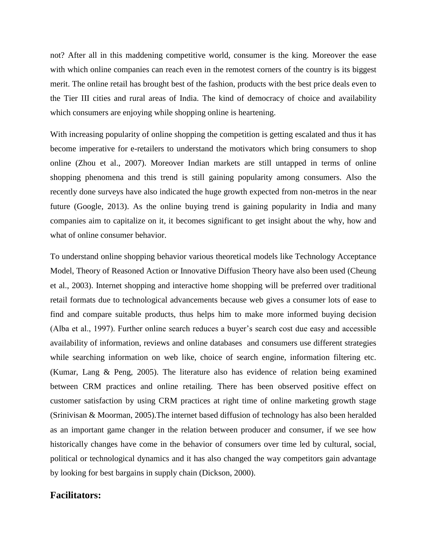not? After all in this maddening competitive world, consumer is the king. Moreover the ease with which online companies can reach even in the remotest corners of the country is its biggest merit. The online retail has brought best of the fashion, products with the best price deals even to the Tier III cities and rural areas of India. The kind of democracy of choice and availability which consumers are enjoying while shopping online is heartening.

With increasing popularity of online shopping the competition is getting escalated and thus it has become imperative for e-retailers to understand the motivators which bring consumers to shop online (Zhou et al., 2007). Moreover Indian markets are still untapped in terms of online shopping phenomena and this trend is still gaining popularity among consumers. Also the recently done surveys have also indicated the huge growth expected from non-metros in the near future (Google, 2013). As the online buying trend is gaining popularity in India and many companies aim to capitalize on it, it becomes significant to get insight about the why, how and what of online consumer behavior.

To understand online shopping behavior various theoretical models like Technology Acceptance Model, Theory of Reasoned Action or Innovative Diffusion Theory have also been used (Cheung et al., 2003). Internet shopping and interactive home shopping will be preferred over traditional retail formats due to technological advancements because web gives a consumer lots of ease to find and compare suitable products, thus helps him to make more informed buying decision (Alba et al., 1997). Further online search reduces a buyer's search cost due easy and accessible availability of information, reviews and online databases and consumers use different strategies while searching information on web like, choice of search engine, information filtering etc. (Kumar, Lang & Peng, 2005). The literature also has evidence of relation being examined between CRM practices and online retailing. There has been observed positive effect on customer satisfaction by using CRM practices at right time of online marketing growth stage (Srinivisan & Moorman, 2005).The internet based diffusion of technology has also been heralded as an important game changer in the relation between producer and consumer, if we see how historically changes have come in the behavior of consumers over time led by cultural, social, political or technological dynamics and it has also changed the way competitors gain advantage by looking for best bargains in supply chain (Dickson, 2000).

### **Facilitators:**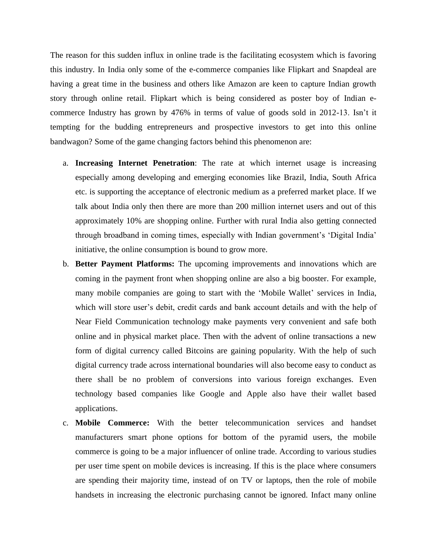The reason for this sudden influx in online trade is the facilitating ecosystem which is favoring this industry. In India only some of the e-commerce companies like Flipkart and Snapdeal are having a great time in the business and others like Amazon are keen to capture Indian growth story through online retail. Flipkart which is being considered as poster boy of Indian ecommerce Industry has grown by 476% in terms of value of goods sold in 2012-13. Isn't it tempting for the budding entrepreneurs and prospective investors to get into this online bandwagon? Some of the game changing factors behind this phenomenon are:

- a. **Increasing Internet Penetration**: The rate at which internet usage is increasing especially among developing and emerging economies like Brazil, India, South Africa etc. is supporting the acceptance of electronic medium as a preferred market place. If we talk about India only then there are more than 200 million internet users and out of this approximately 10% are shopping online. Further with rural India also getting connected through broadband in coming times, especially with Indian government's 'Digital India' initiative, the online consumption is bound to grow more.
- b. **Better Payment Platforms:** The upcoming improvements and innovations which are coming in the payment front when shopping online are also a big booster. For example, many mobile companies are going to start with the 'Mobile Wallet' services in India, which will store user's debit, credit cards and bank account details and with the help of Near Field Communication technology make payments very convenient and safe both online and in physical market place. Then with the advent of online transactions a new form of digital currency called Bitcoins are gaining popularity. With the help of such digital currency trade across international boundaries will also become easy to conduct as there shall be no problem of conversions into various foreign exchanges. Even technology based companies like Google and Apple also have their wallet based applications.
- c. **Mobile Commerce:** With the better telecommunication services and handset manufacturers smart phone options for bottom of the pyramid users, the mobile commerce is going to be a major influencer of online trade. According to various studies per user time spent on mobile devices is increasing. If this is the place where consumers are spending their majority time, instead of on TV or laptops, then the role of mobile handsets in increasing the electronic purchasing cannot be ignored. Infact many online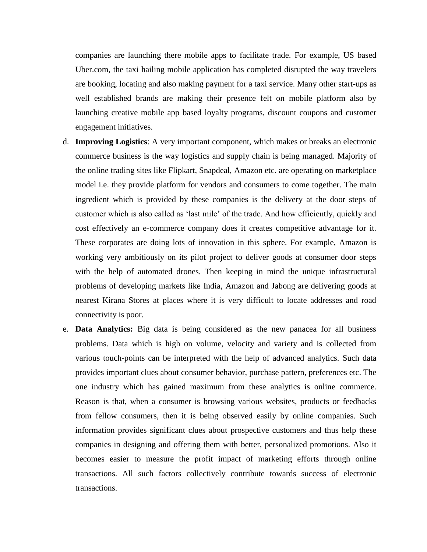companies are launching there mobile apps to facilitate trade. For example, US based Uber.com, the taxi hailing mobile application has completed disrupted the way travelers are booking, locating and also making payment for a taxi service. Many other start-ups as well established brands are making their presence felt on mobile platform also by launching creative mobile app based loyalty programs, discount coupons and customer engagement initiatives.

- d. **Improving Logistics**: A very important component, which makes or breaks an electronic commerce business is the way logistics and supply chain is being managed. Majority of the online trading sites like Flipkart, Snapdeal, Amazon etc. are operating on marketplace model i.e. they provide platform for vendors and consumers to come together. The main ingredient which is provided by these companies is the delivery at the door steps of customer which is also called as 'last mile' of the trade. And how efficiently, quickly and cost effectively an e-commerce company does it creates competitive advantage for it. These corporates are doing lots of innovation in this sphere. For example, Amazon is working very ambitiously on its pilot project to deliver goods at consumer door steps with the help of automated drones. Then keeping in mind the unique infrastructural problems of developing markets like India, Amazon and Jabong are delivering goods at nearest Kirana Stores at places where it is very difficult to locate addresses and road connectivity is poor.
- e. **Data Analytics:** Big data is being considered as the new panacea for all business problems. Data which is high on volume, velocity and variety and is collected from various touch-points can be interpreted with the help of advanced analytics. Such data provides important clues about consumer behavior, purchase pattern, preferences etc. The one industry which has gained maximum from these analytics is online commerce. Reason is that, when a consumer is browsing various websites, products or feedbacks from fellow consumers, then it is being observed easily by online companies. Such information provides significant clues about prospective customers and thus help these companies in designing and offering them with better, personalized promotions. Also it becomes easier to measure the profit impact of marketing efforts through online transactions. All such factors collectively contribute towards success of electronic transactions.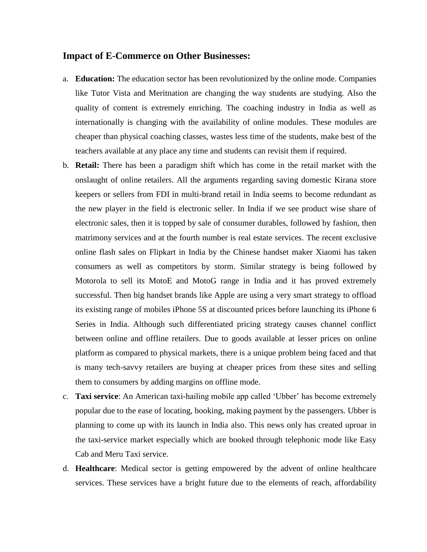#### **Impact of E-Commerce on Other Businesses:**

- a. **Education:** The education sector has been revolutionized by the online mode. Companies like Tutor Vista and Meritnation are changing the way students are studying. Also the quality of content is extremely enriching. The coaching industry in India as well as internationally is changing with the availability of online modules. These modules are cheaper than physical coaching classes, wastes less time of the students, make best of the teachers available at any place any time and students can revisit them if required.
- b. **Retail:** There has been a paradigm shift which has come in the retail market with the onslaught of online retailers. All the arguments regarding saving domestic Kirana store keepers or sellers from FDI in multi-brand retail in India seems to become redundant as the new player in the field is electronic seller. In India if we see product wise share of electronic sales, then it is topped by sale of consumer durables, followed by fashion, then matrimony services and at the fourth number is real estate services. The recent exclusive online flash sales on Flipkart in India by the Chinese handset maker Xiaomi has taken consumers as well as competitors by storm. Similar strategy is being followed by Motorola to sell its MotoE and MotoG range in India and it has proved extremely successful. Then big handset brands like Apple are using a very smart strategy to offload its existing range of mobiles iPhone 5S at discounted prices before launching its iPhone 6 Series in India. Although such differentiated pricing strategy causes channel conflict between online and offline retailers. Due to goods available at lesser prices on online platform as compared to physical markets, there is a unique problem being faced and that is many tech-savvy retailers are buying at cheaper prices from these sites and selling them to consumers by adding margins on offline mode.
- c. **Taxi service**: An American taxi-hailing mobile app called 'Ubber' has become extremely popular due to the ease of locating, booking, making payment by the passengers. Ubber is planning to come up with its launch in India also. This news only has created uproar in the taxi-service market especially which are booked through telephonic mode like Easy Cab and Meru Taxi service.
- d. **Healthcare**: Medical sector is getting empowered by the advent of online healthcare services. These services have a bright future due to the elements of reach, affordability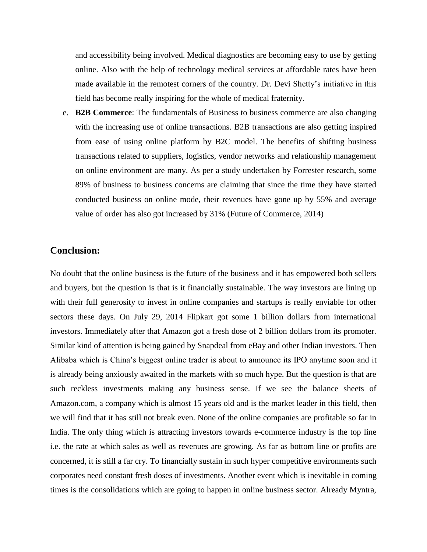and accessibility being involved. Medical diagnostics are becoming easy to use by getting online. Also with the help of technology medical services at affordable rates have been made available in the remotest corners of the country. Dr. Devi Shetty's initiative in this field has become really inspiring for the whole of medical fraternity.

e. **B2B Commerce**: The fundamentals of Business to business commerce are also changing with the increasing use of online transactions. B2B transactions are also getting inspired from ease of using online platform by B2C model. The benefits of shifting business transactions related to suppliers, logistics, vendor networks and relationship management on online environment are many. As per a study undertaken by Forrester research, some 89% of business to business concerns are claiming that since the time they have started conducted business on online mode, their revenues have gone up by 55% and average value of order has also got increased by 31% (Future of Commerce, 2014)

# **Conclusion:**

No doubt that the online business is the future of the business and it has empowered both sellers and buyers, but the question is that is it financially sustainable. The way investors are lining up with their full generosity to invest in online companies and startups is really enviable for other sectors these days. On July 29, 2014 Flipkart got some 1 billion dollars from international investors. Immediately after that Amazon got a fresh dose of 2 billion dollars from its promoter. Similar kind of attention is being gained by Snapdeal from eBay and other Indian investors. Then Alibaba which is China's biggest online trader is about to announce its IPO anytime soon and it is already being anxiously awaited in the markets with so much hype. But the question is that are such reckless investments making any business sense. If we see the balance sheets of Amazon.com, a company which is almost 15 years old and is the market leader in this field, then we will find that it has still not break even. None of the online companies are profitable so far in India. The only thing which is attracting investors towards e-commerce industry is the top line i.e. the rate at which sales as well as revenues are growing. As far as bottom line or profits are concerned, it is still a far cry. To financially sustain in such hyper competitive environments such corporates need constant fresh doses of investments. Another event which is inevitable in coming times is the consolidations which are going to happen in online business sector. Already Myntra,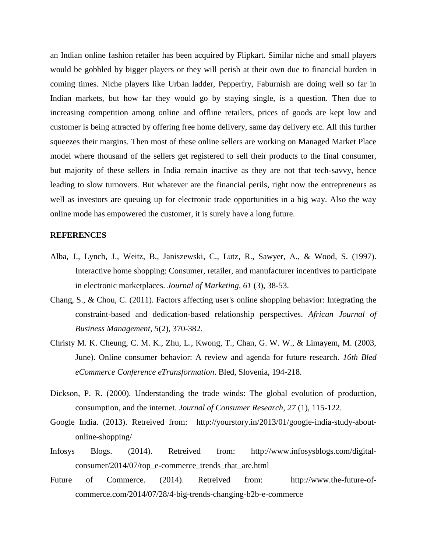an Indian online fashion retailer has been acquired by Flipkart. Similar niche and small players would be gobbled by bigger players or they will perish at their own due to financial burden in coming times. Niche players like Urban ladder, Pepperfry, Faburnish are doing well so far in Indian markets, but how far they would go by staying single, is a question. Then due to increasing competition among online and offline retailers, prices of goods are kept low and customer is being attracted by offering free home delivery, same day delivery etc. All this further squeezes their margins. Then most of these online sellers are working on Managed Market Place model where thousand of the sellers get registered to sell their products to the final consumer, but majority of these sellers in India remain inactive as they are not that tech-savvy, hence leading to slow turnovers. But whatever are the financial perils, right now the entrepreneurs as well as investors are queuing up for electronic trade opportunities in a big way. Also the way online mode has empowered the customer, it is surely have a long future.

#### **REFERENCES**

- Alba, J., Lynch, J., Weitz, B., Janiszewski, C., Lutz, R., Sawyer, A., & Wood, S. (1997). Interactive home shopping: Consumer, retailer, and manufacturer incentives to participate in electronic marketplaces. *Journal of Marketing, 61* (3), 38-53.
- Chang, S., & Chou, C. (2011). Factors affecting user's online shopping behavior: Integrating the constraint-based and dedication-based relationship perspectives. *African Journal of Business Management, 5*(2), 370-382.
- Christy M. K. Cheung, C. M. K., Zhu, L., Kwong, T., Chan, G. W. W., & Limayem, M. (2003, June). Online consumer behavior: A review and agenda for future research. *16th Bled eCommerce Conference eTransformation*. Bled, Slovenia, 194-218.
- Dickson, P. R. (2000). Understanding the trade winds: The global evolution of production, consumption, and the internet. *Journal of Consumer Research, 27* (1), 115-122.
- Google India. (2013). Retreived from: [http://yourstory.in/2013/01/google-india-study-about](http://yourstory.in/2013/01/google-india-study-about-online-shopping/)[online-shopping/](http://yourstory.in/2013/01/google-india-study-about-online-shopping/)
- Infosys Blogs. (2014). Retreived from: [http://www.infosysblogs.com/digital](http://www.infosysblogs.com/digital-consumer/2014/07/top_e-commerce_trends_that_are.html)[consumer/2014/07/top\\_e-commerce\\_trends\\_that\\_are.html](http://www.infosysblogs.com/digital-consumer/2014/07/top_e-commerce_trends_that_are.html)
- Future of Commerce. (2014). Retreived from: http://www.the-future-ofcommerce.com/2014/07/28/4-big-trends-changing-b2b-e-commerce